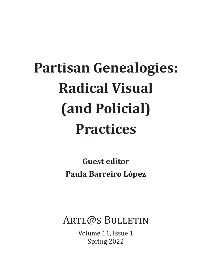# **Partisan Genealogies: Radical Visual (and Policial) Practices**

**Guest editor Paula Barreiro López**

ARTL@S BULLETIN

Volume 11, Issue 1 Spring 2022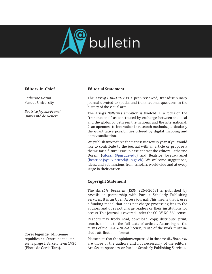

### **Editors-in-Chief**

*Catherine Dossin* Purdue University

*Béatrice Joyeux-Prunel* Université de Genève

**Cover légende :** Milicienne républicaine s'entraînant au tir sur la plage à Barcelone en 1936 (Photo de Gerda Taro).

#### **Editorial Statement**

The *Artl@s Bulletin* is a peer-reviewed, transdisciplinary journal devoted to spatial and transnational questions in the history of the visual arts.

The *Artl@s Bulletin*'s ambition is twofold: 1. a focus on the "transnational" as constituted by exchange between the local and the global or between the national and the international; 2. an openness to innovation in research methods, particularly the quantitative possibilities offered by digital mapping and data visualization.

We publish two to three thematic issues every year. If you would like to contribute to the journal with an article or propose a theme for a future issue, please contact the editors Catherine Dossin [\(cdossin@purdue.edu](mailto:cdossin​@purdue​.edu)) and Béatrice Joyeux-Prunel ([beatrice.joyeux-prunel@unige.ch](mailto:beatrice​.joyeux​-­­­prunel​@unige​.ch)). We welcome suggestions, ideas, and submissions from scholars worldwide and at every stage in their career.

#### **Copyright Statement**

The *Artl@s Bulletin* (ISSN 2264-2668) is published by *Artl@s* in partnership with Purdue Scholarly Publishing Services**.** It is an Open Access journal. This means that it uses a funding model that does not charge processing fees to the authors and does not charge readers or their institutions for access. This journal is covered under the CC-BY-NC-SA license.

Readers may freely read, download, copy, distribute, print, search, or link to the full texts of articles. According to the terms of the CC-BY-NC-SA license, reuse of the work must include attribution information.

Please note that the opinions expressed in the *Artl@s Bulletin* are those of the authors and not necessarily of the editors, Artl@s, its sponsors, or Purdue Scholarly Publishing Services.